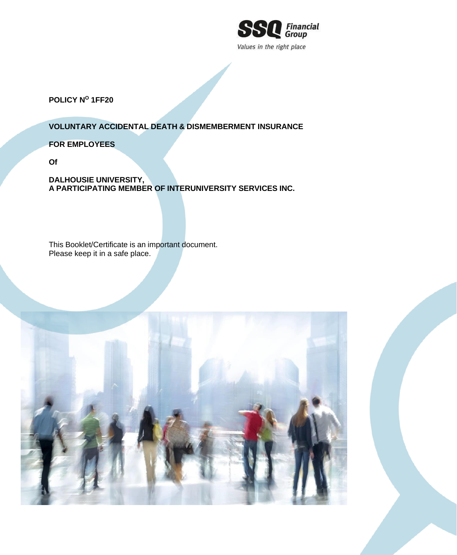

**POLICY N<sup>O</sup> 1FF20**

**VOLUNTARY ACCIDENTAL DEATH & DISMEMBERMENT INSURANCE**

**FOR EMPLOYEES**

**Of**

**DALHOUSIE UNIVERSITY, A PARTICIPATING MEMBER OF INTERUNIVERSITY SERVICES INC.**

This Booklet/Certificate is an important document. Please keep it in a safe place.

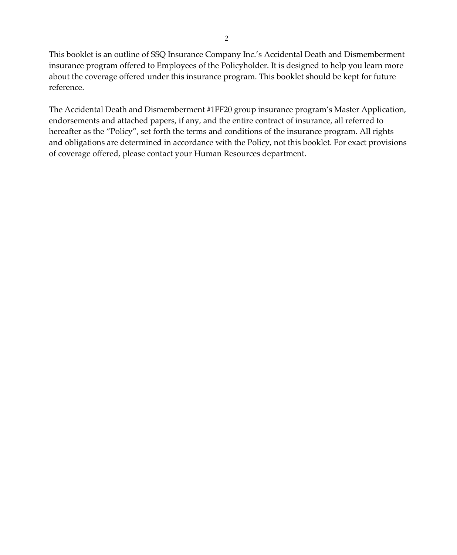This booklet is an outline of SSQ Insurance Company Inc.'s Accidental Death and Dismemberment insurance program offered to Employees of the Policyholder. It is designed to help you learn more about the coverage offered under this insurance program. This booklet should be kept for future reference.

The Accidental Death and Dismemberment #1FF20 group insurance program's Master Application, endorsements and attached papers, if any, and the entire contract of insurance, all referred to hereafter as the "Policy", set forth the terms and conditions of the insurance program. All rights and obligations are determined in accordance with the Policy, not this booklet. For exact provisions of coverage offered, please contact your Human Resources department.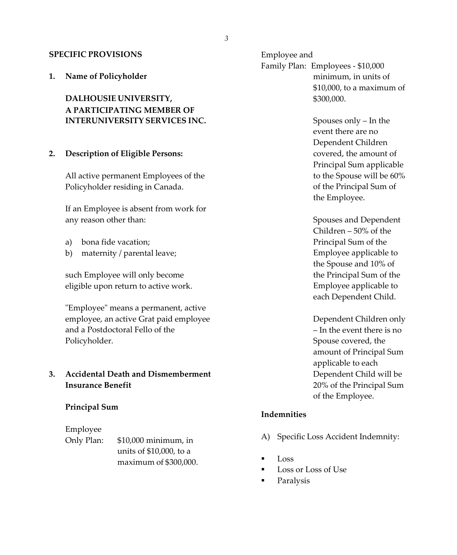### **SPECIFIC PROVISIONS**

**1. Name of Policyholder**

**DALHOUSIE UNIVERSITY, A PARTICIPATING MEMBER OF INTERUNIVERSITY SERVICES INC.**

## **2. Description of Eligible Persons:**

All active permanent Employees of the Policyholder residing in Canada.

If an Employee is absent from work for any reason other than:

- a) bona fide vacation;
- b) maternity / parental leave;

such Employee will only become eligible upon return to active work.

"Employee" means a permanent, active employee, an active Grat paid employee and a Postdoctoral Fello of the Policyholder.

# **3. Accidental Death and Dismemberment Insurance Benefit**

### **Principal Sum**

### Employee

Only Plan: \$10,000 minimum, in units of \$10,000, to a maximum of \$300,000. Employee and Family Plan: Employees - \$10,000 minimum, in units of \$10,000, to a maximum of \$300,000.

> Spouses only – In the event there are no Dependent Children covered, the amount of Principal Sum applicable to the Spouse will be 60% of the Principal Sum of the Employee.

Spouses and Dependent Children – 50% of the Principal Sum of the Employee applicable to the Spouse and 10% of the Principal Sum of the Employee applicable to each Dependent Child.

Dependent Children only – In the event there is no Spouse covered, the amount of Principal Sum applicable to each Dependent Child will be 20% of the Principal Sum of the Employee.

## **Indemnities**

- A) Specific Loss Accident Indemnity:
- Loss
- Loss or Loss of Use
- Paralysis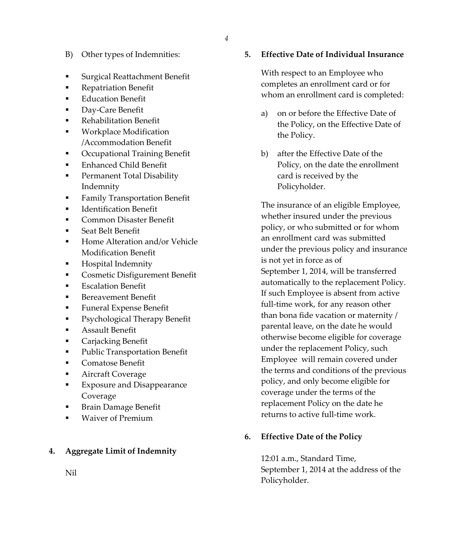- B) Other types of Indemnities:
- Surgical Reattachment Benefit
- **•** Repatriation Benefit
- **Education Benefit**
- Day-Care Benefit
- **Rehabilitation Benefit**
- **Workplace Modification** /Accommodation Benefit
- Occupational Training Benefit
- **Enhanced Child Benefit**
- Permanent Total Disability Indemnity
- **•** Family Transportation Benefit
- **Identification Benefit**
- Common Disaster Benefit
- Seat Belt Benefit
- Home Alteration and/or Vehicle Modification Benefit
- Hospital Indemnity
- Cosmetic Disfigurement Benefit
- **Escalation Benefit**
- Bereavement Benefit
- **Funeral Expense Benefit**
- Psychological Therapy Benefit
- Assault Benefit
- Carjacking Benefit
- Public Transportation Benefit
- Comatose Benefit
- Aircraft Coverage
- **Exposure and Disappearance** Coverage
- Brain Damage Benefit
- **Waiver of Premium**

### **4. Aggregate Limit of Indemnity**

**5. Effective Date of Individual Insurance**

With respect to an Employee who completes an enrollment card or for whom an enrollment card is completed:

- a) on or before the Effective Date of the Policy, on the Effective Date of the Policy.
- b) after the Effective Date of the Policy, on the date the enrollment card is received by the Policyholder.

The insurance of an eligible Employee, whether insured under the previous policy, or who submitted or for whom an enrollment card was submitted under the previous policy and insurance is not yet in force as of September 1, 2014, will be transferred automatically to the replacement Policy. If such Employee is absent from active full-time work, for any reason other than bona fide vacation or maternity / parental leave, on the date he would otherwise become eligible for coverage under the replacement Policy, such Employee will remain covered under the terms and conditions of the previous policy, and only become eligible for coverage under the terms of the replacement Policy on the date he returns to active full-time work.

# **6. Effective Date of the Policy**

12:01 a.m., Standard Time, September 1, 2014 at the address of the Policyholder.

Nil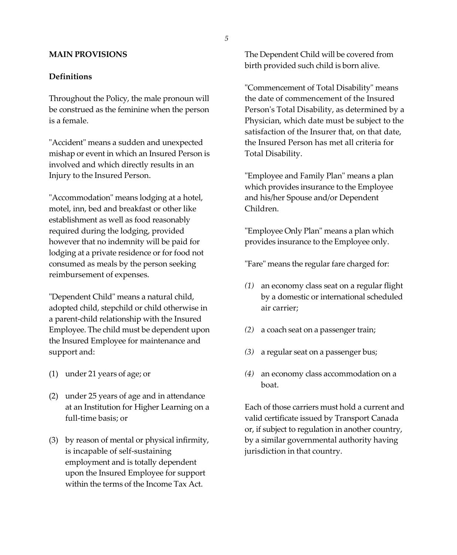## **MAIN PROVISIONS**

### **Definitions**

Throughout the Policy, the male pronoun will be construed as the feminine when the person is a female.

"Accident" means a sudden and unexpected mishap or event in which an Insured Person is involved and which directly results in an Injury to the Insured Person.

"Accommodation" means lodging at a hotel, motel, inn, bed and breakfast or other like establishment as well as food reasonably required during the lodging, provided however that no indemnity will be paid for lodging at a private residence or for food not consumed as meals by the person seeking reimbursement of expenses.

"Dependent Child" means a natural child, adopted child, stepchild or child otherwise in a parent-child relationship with the Insured Employee. The child must be dependent upon the Insured Employee for maintenance and support and:

- (1) under 21 years of age; or
- (2) under 25 years of age and in attendance at an Institution for Higher Learning on a full-time basis; or
- (3) by reason of mental or physical infirmity, is incapable of self-sustaining employment and is totally dependent upon the Insured Employee for support within the terms of the Income Tax Act.

The Dependent Child will be covered from birth provided such child is born alive.

"Commencement of Total Disability" means the date of commencement of the Insured Person's Total Disability, as determined by a Physician, which date must be subject to the satisfaction of the Insurer that, on that date, the Insured Person has met all criteria for Total Disability.

"Employee and Family Plan" means a plan which provides insurance to the Employee and his/her Spouse and/or Dependent Children.

"Employee Only Plan" means a plan which provides insurance to the Employee only.

"Fare" means the regular fare charged for:

- *(1)* an economy class seat on a regular flight by a domestic or international scheduled air carrier;
- *(2)* a coach seat on a passenger train;
- *(3)* a regular seat on a passenger bus;
- *(4)* an economy class accommodation on a boat.

Each of those carriers must hold a current and valid certificate issued by Transport Canada or, if subject to regulation in another country, by a similar governmental authority having jurisdiction in that country.

*5*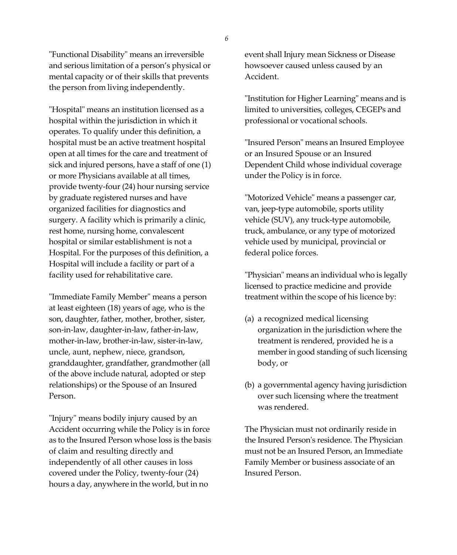"Functional Disability" means an irreversible and serious limitation of a person's physical or mental capacity or of their skills that prevents the person from living independently.

"Hospital" means an institution licensed as a hospital within the jurisdiction in which it operates. To qualify under this definition, a hospital must be an active treatment hospital open at all times for the care and treatment of sick and injured persons, have a staff of one (1) or more Physicians available at all times, provide twenty-four (24) hour nursing service by graduate registered nurses and have organized facilities for diagnostics and surgery. A facility which is primarily a clinic, rest home, nursing home, convalescent hospital or similar establishment is not a Hospital. For the purposes of this definition, a Hospital will include a facility or part of a facility used for rehabilitative care.

"Immediate Family Member" means a person at least eighteen (18) years of age, who is the son, daughter, father, mother, brother, sister, son-in-law, daughter-in-law, father-in-law, mother-in-law, brother-in-law, sister-in-law, uncle, aunt, nephew, niece, grandson, granddaughter, grandfather, grandmother (all of the above include natural, adopted or step relationships) or the Spouse of an Insured Person.

"Injury" means bodily injury caused by an Accident occurring while the Policy is in force as to the Insured Person whose loss is the basis of claim and resulting directly and independently of all other causes in loss covered under the Policy, twenty-four (24) hours a day, anywhere in the world, but in no

event shall Injury mean Sickness or Disease howsoever caused unless caused by an Accident.

"Institution for Higher Learning" means and is limited to universities, colleges, CEGEPs and professional or vocational schools.

"Insured Person" means an Insured Employee or an Insured Spouse or an Insured Dependent Child whose individual coverage under the Policy is in force.

"Motorized Vehicle" means a passenger car, van, jeep-type automobile, sports utility vehicle (SUV), any truck-type automobile, truck, ambulance, or any type of motorized vehicle used by municipal, provincial or federal police forces.

"Physician" means an individual who is legally licensed to practice medicine and provide treatment within the scope of his licence by:

- (a) a recognized medical licensing organization in the jurisdiction where the treatment is rendered, provided he is a member in good standing of such licensing body, or
- (b) a governmental agency having jurisdiction over such licensing where the treatment was rendered.

The Physician must not ordinarily reside in the Insured Person's residence. The Physician must not be an Insured Person, an Immediate Family Member or business associate of an Insured Person.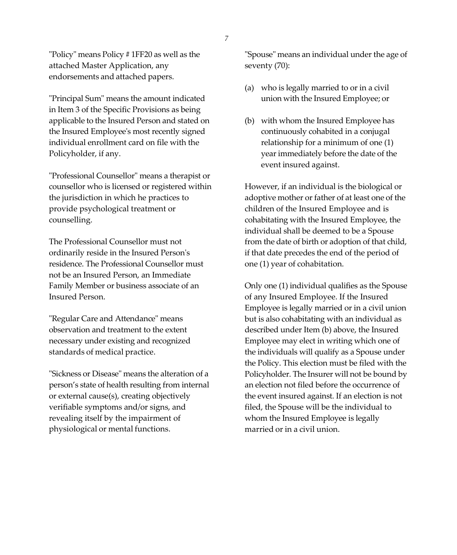"Policy" means Policy # 1FF20 as well as the attached Master Application, any endorsements and attached papers.

"Principal Sum" means the amount indicated in Item 3 of the Specific Provisions as being applicable to the Insured Person and stated on the Insured Employee's most recently signed individual enrollment card on file with the Policyholder, if any.

"Professional Counsellor" means a therapist or counsellor who is licensed or registered within the jurisdiction in which he practices to provide psychological treatment or counselling.

The Professional Counsellor must not ordinarily reside in the Insured Person's residence. The Professional Counsellor must not be an Insured Person, an Immediate Family Member or business associate of an Insured Person.

"Regular Care and Attendance" means observation and treatment to the extent necessary under existing and recognized standards of medical practice.

"Sickness or Disease" means the alteration of a person's state of health resulting from internal or external cause(s), creating objectively verifiable symptoms and/or signs, and revealing itself by the impairment of physiological or mental functions.

"Spouse" means an individual under the age of seventy (70):

- (a) who is legally married to or in a civil union with the Insured Employee; or
- (b) with whom the Insured Employee has continuously cohabited in a conjugal relationship for a minimum of one (1) yearimmediately before the date of the event insured against.

However, if an individual is the biological or adoptive mother or father of at least one of the children of the Insured Employee and is cohabitating with the Insured Employee, the individual shall be deemed to be a Spouse from the date of birth or adoption of that child, if that date precedes the end of the period of one (1) year of cohabitation.

Only one (1) individual qualifies as the Spouse of any Insured Employee. If the Insured Employee is legally married or in a civil union but is also cohabitating with an individual as described under Item (b) above, the Insured Employee may elect in writing which one of the individuals will qualify as a Spouse under the Policy. This election must be filed with the Policyholder. The Insurer will not be bound by an election not filed before the occurrence of the event insured against. If an election is not filed, the Spouse will be the individual to whom the Insured Employee is legally married or in a civil union.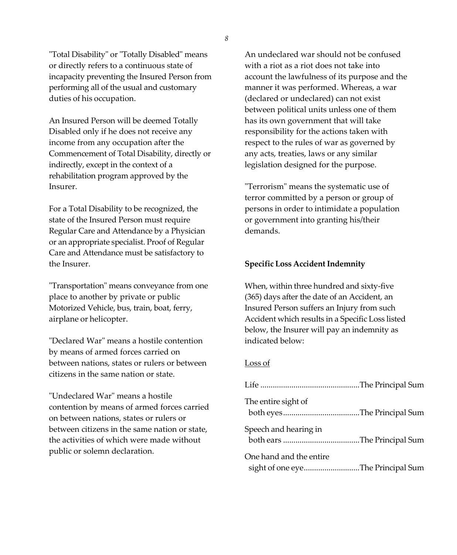"Total Disability" or "Totally Disabled" means or directly refers to a continuous state of incapacity preventing the Insured Person from performing all of the usual and customary duties of his occupation.

An Insured Person will be deemed Totally Disabled only if he does not receive any income from any occupation after the Commencement of Total Disability, directly or indirectly, except in the context of a rehabilitation program approved by the Insurer.

For a Total Disability to be recognized, the state of the Insured Person must require Regular Care and Attendance by a Physician or an appropriate specialist. Proof of Regular Care and Attendance must be satisfactory to the Insurer.

"Transportation" means conveyance from one place to another by private or public Motorized Vehicle, bus, train, boat, ferry, airplane or helicopter.

"Declared War" means a hostile contention by means of armed forces carried on between nations, states or rulers or between citizens in the same nation or state.

"Undeclared War" means a hostile contention by means of armed forces carried on between nations, states or rulers or between citizens in the same nation or state, the activities of which were made without public or solemn declaration.

An undeclared war should not be confused with a riot as a riot does not take into account the lawfulness of its purpose and the manner it was performed. Whereas, a war (declared or undeclared) can not exist between political units unless one of them has its own government that will take responsibility for the actions taken with respect to the rules of war as governed by any acts, treaties, laws or any similar legislation designed for the purpose.

"Terrorism" means the systematic use of terror committed by a person or group of persons in order to intimidate a population or government into granting his/their demands.

#### **Specific Loss Accident Indemnity**

When, within three hundred and sixty-five (365) days after the date of an Accident, an Insured Person suffers an Injury from such Accident which results in a Specific Loss listed below, the Insurer will pay an indemnity as indicated below:

#### Loss of

| The entire sight of                                          |  |
|--------------------------------------------------------------|--|
| Speech and hearing in                                        |  |
| One hand and the entire<br>sight of one eyeThe Principal Sum |  |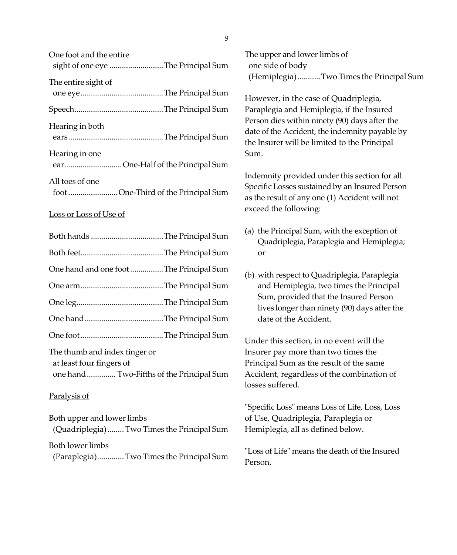| one root and the chance<br>sight of one eye The Principal Sum |  |
|---------------------------------------------------------------|--|
| The entire sight of                                           |  |
|                                                               |  |
| Hearing in both                                               |  |
| Hearing in one<br>earOne-Half of the Principal Sum            |  |
| All toes of one<br>footOne-Third of the Principal Sum         |  |

#### Loss or Loss of Use of

One foot and the entire

| One hand and one foot The Principal Sum                                                                |  |
|--------------------------------------------------------------------------------------------------------|--|
|                                                                                                        |  |
|                                                                                                        |  |
|                                                                                                        |  |
|                                                                                                        |  |
| The thumb and index finger or<br>at least four fingers of<br>one hand  Two-Fifths of the Principal Sum |  |

#### Paralysis of

Both upper and lower limbs (Quadriplegia)........ Two Times the Principal Sum Both lower limbs (Paraplegia)............. Two Times the Principal Sum

The upper and lower limbs of one side of body (Hemiplegia)...........Two Times the Principal Sum

However, in the case of Quadriplegia, Paraplegia and Hemiplegia, if the Insured Person dies within ninety (90) days after the date of the Accident, the indemnity payable by the Insurer will be limited to the Principal Sum.

Indemnity provided under this section for all Specific Losses sustained by an Insured Person as the result of any one (1) Accident will not exceed the following:

- (a) the Principal Sum, with the exception of Quadriplegia, Paraplegia and Hemiplegia; or
- (b) with respect to Quadriplegia, Paraplegia and Hemiplegia, two times the Principal Sum, provided that the Insured Person lives longer than ninety (90) days after the date of the Accident.

Under this section, in no event will the Insurer pay more than two times the Principal Sum as the result of the same Accident, regardless of the combination of losses suffered.

"Specific Loss" means Loss of Life, Loss, Loss of Use, Quadriplegia, Paraplegia or Hemiplegia, all as defined below.

"Loss of Life" means the death of the Insured Person.

*9*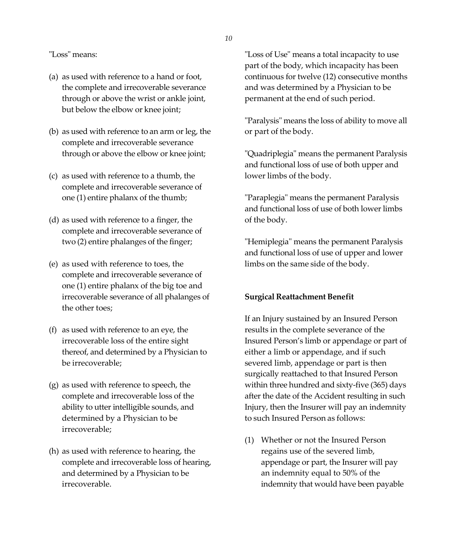"Loss" means:

- (a) as used with reference to a hand or foot, the complete and irrecoverable severance through or above the wrist or ankle joint, but below the elbow or knee joint;
- (b) as used with reference to an arm or leg, the complete and irrecoverable severance through or above the elbow or knee joint;
- (c) as used with reference to a thumb, the complete and irrecoverable severance of one (1) entire phalanx of the thumb;
- (d) as used with reference to a finger, the complete and irrecoverable severance of two (2) entire phalanges of the finger;
- (e) as used with reference to toes, the complete and irrecoverable severance of one (1) entire phalanx of the big toe and irrecoverable severance of all phalanges of the other toes;
- (f) as used with reference to an eye, the irrecoverable loss of the entire sight thereof, and determined by a Physician to be irrecoverable;
- (g) as used with reference to speech, the complete and irrecoverable loss of the ability to utter intelligible sounds, and determined by a Physician to be irrecoverable;
- (h) as used with reference to hearing, the complete and irrecoverable loss of hearing, and determined by a Physician to be irrecoverable.

"Loss of Use" means a total incapacity to use part of the body, which incapacity has been continuous for twelve (12) consecutive months and was determined by a Physician to be permanent at the end of such period.

"Paralysis" means the loss of ability to move all or part of the body.

"Quadriplegia" means the permanent Paralysis and functional loss of use of both upper and lower limbs of the body.

"Paraplegia" means the permanent Paralysis and functional loss of use of both lower limbs of the body.

"Hemiplegia" means the permanent Paralysis and functional loss of use of upper and lower limbs on the same side of the body.

# **Surgical Reattachment Benefit**

If an Injury sustained by an Insured Person results in the complete severance of the Insured Person's limb or appendage or part of either a limb or appendage, and if such severed limb, appendage or part is then surgically reattached to that Insured Person within three hundred and sixty-five (365) days after the date of the Accident resulting in such Injury, then the Insurer will pay an indemnity to such Insured Person as follows:

(1) Whether or not the Insured Person regains use of the severed limb, appendage or part, the Insurer will pay an indemnity equal to 50% of the indemnity that would have been payable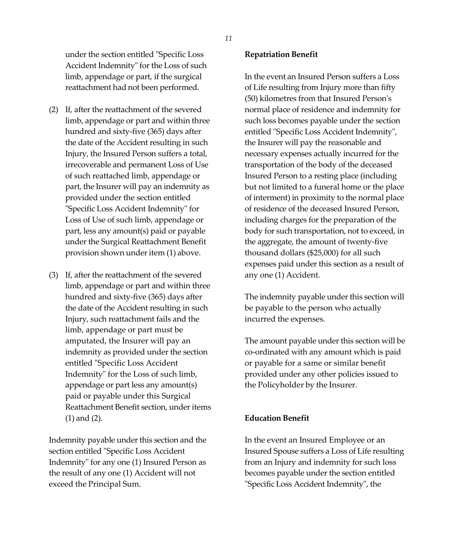under the section entitled "Specific Loss Accident Indemnity" for the Loss of such limb, appendage or part, if the surgical reattachment had not been performed.

- (2) If, after the reattachment of the severed limb, appendage or part and within three hundred and sixty-five (365) days after the date of the Accident resulting in such Injury, the Insured Person suffers a total, irrecoverable and permanent Loss of Use of such reattached limb, appendage or part, the Insurer will pay an indemnity as provided under the section entitled "Specific Loss Accident Indemnity" for Loss of Use of such limb, appendage or part, less any amount(s) paid or payable under the Surgical Reattachment Benefit provision shown under item (1) above.
- (3) If, after the reattachment of the severed limb, appendage or part and within three hundred and sixty-five (365) days after the date of the Accident resulting in such Injury, such reattachment fails and the limb, appendage or part must be amputated, the Insurer will pay an indemnity as provided under the section entitled "Specific Loss Accident Indemnity" for the Loss of such limb, appendage or part less any amount(s) paid or payable under this Surgical Reattachment Benefit section, under items (1) and (2).

Indemnity payable under this section and the section entitled "Specific Loss Accident Indemnity" for any one (1) Insured Person as the result of any one (1) Accident will not exceed the Principal Sum.

#### **Repatriation Benefit**

In the event an Insured Person suffers a Loss of Life resulting from Injury more than fifty (50) kilometres from that Insured Person's normal place of residence and indemnity for such loss becomes payable under the section entitled "Specific Loss Accident Indemnity", the Insurer will pay the reasonable and necessary expenses actually incurred for the transportation of the body of the deceased Insured Person to a resting place (including but not limited to a funeral home or the place of interment) in proximity to the normal place of residence of the deceased Insured Person, including charges for the preparation of the body for such transportation, not to exceed, in the aggregate, the amount of twenty-five thousand dollars (\$25,000) for all such expenses paid under this section as a result of any one (1) Accident.

The indemnity payable under this section will be payable to the person who actually incurred the expenses.

The amount payable under this section will be co-ordinated with any amount which is paid or payable for a same or similar benefit provided under any other policies issued to the Policyholder by the Insurer.

## **Education Benefit**

In the event an Insured Employee or an Insured Spouse suffers a Loss of Life resulting from an Injury and indemnity for such loss becomes payable under the section entitled "Specific Loss Accident Indemnity", the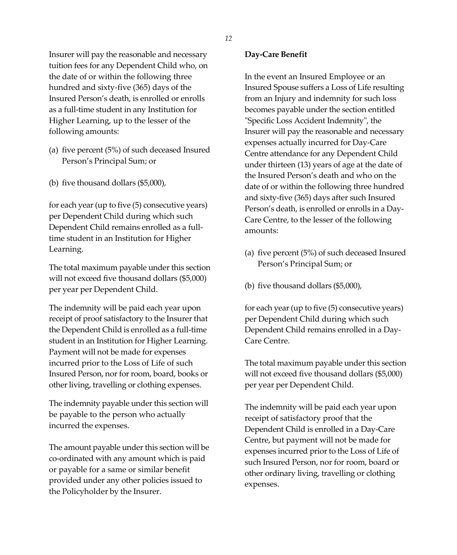Insurer will pay the reasonable and necessary tuition fees for any Dependent Child who, on the date of or within the following three hundred and sixty-five (365) days of the Insured Person's death, is enrolled or enrolls as a full-time student in any Institution for Higher Learning, up to the lesser of the following amounts:

- (a) five percent (5%) of such deceased Insured Person's Principal Sum; or
- (b) five thousand dollars (\$5,000),

for each year (up to five (5) consecutive years) per Dependent Child during which such Dependent Child remains enrolled as a fulltime student in an Institution for Higher Learning.

The total maximum payable under this section will not exceed five thousand dollars (\$5,000) per year per Dependent Child.

The indemnity will be paid each year upon receipt of proof satisfactory to the Insurer that the Dependent Child is enrolled as a full-time student in an Institution for Higher Learning. Payment will not be made for expenses incurred prior to the Loss of Life of such Insured Person, nor for room, board, books or other living, travelling or clothing expenses.

The indemnity payable under this section will be payable to the person who actually incurred the expenses.

The amount payable under this section will be co-ordinated with any amount which is paid or payable for a same or similar benefit provided under any other policies issued to the Policyholder by the Insurer.

### **Day-Care Benefit**

In the event an Insured Employee or an Insured Spouse suffers a Loss of Life resulting from an Injury and indemnity for such loss becomes payable under the section entitled "Specific Loss Accident Indemnity", the Insurer will pay the reasonable and necessary expenses actually incurred for Day-Care Centre attendance for any Dependent Child under thirteen (13) years of age at the date of the Insured Person's death and who on the date of or within the following three hundred and sixty-five (365) days after such Insured Person's death, is enrolled or enrolls in a Day-Care Centre, to the lesser of the following amounts:

- (a) five percent (5%) of such deceased Insured Person's Principal Sum; or
- (b) five thousand dollars (\$5,000),

for each year(up to five (5) consecutive years) per Dependent Child during which such Dependent Child remains enrolled in a Day-Care Centre.

The total maximum payable under this section will not exceed five thousand dollars (\$5,000) per year per Dependent Child.

The indemnity will be paid each year upon receipt of satisfactory proof that the Dependent Child is enrolled in a Day-Care Centre, but payment will not be made for expenses incurred prior to the Loss of Life of such Insured Person, nor for room, board or other ordinary living, travelling or clothing expenses.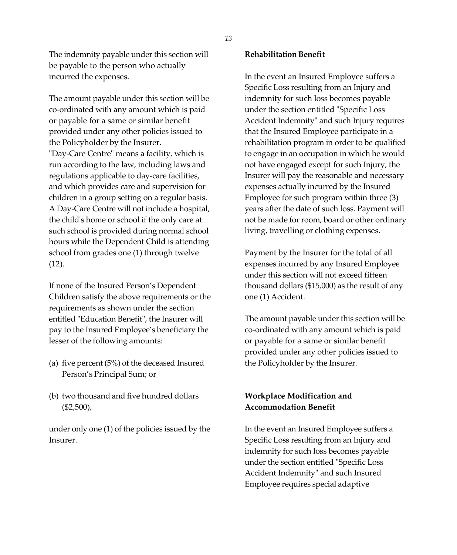The indemnity payable under this section will be payable to the person who actually incurred the expenses.

The amount payable under this section will be co-ordinated with any amount which is paid or payable for a same or similar benefit provided under any other policies issued to the Policyholder by the Insurer. "Day-Care Centre" means a facility, which is run according to the law, including laws and regulations applicable to day-care facilities, and which provides care and supervision for children in a group setting on a regular basis. A Day-Care Centre will not include a hospital, the child's home or school if the only care at such school is provided during normal school hours while the Dependent Child is attending school from grades one (1) through twelve (12).

If none of the Insured Person's Dependent Children satisfy the above requirements or the requirements as shown under the section entitled "Education Benefit", the Insurer will pay to the Insured Employee's beneficiary the lesser of the following amounts:

- (a) five percent (5%) of the deceased Insured Person's Principal Sum; or
- (b) two thousand and five hundred dollars  $(\$2,500)$ ,

under only one (1) of the policies issued by the Insurer.

## **Rehabilitation Benefit**

In the event an Insured Employee suffers a Specific Loss resulting from an Injury and indemnity for such loss becomes payable under the section entitled "Specific Loss Accident Indemnity" and such Injury requires that the Insured Employee participate in a rehabilitation program in order to be qualified to engage in an occupation in which he would not have engaged except for such Injury, the Insurer will pay the reasonable and necessary expenses actually incurred by the Insured Employee for such program within three (3) years after the date of such loss. Payment will not be made for room, board or other ordinary living, travelling or clothing expenses.

Payment by the Insurer for the total of all expenses incurred by any Insured Employee under this section will not exceed fifteen thousand dollars (\$15,000) as the result of any one (1) Accident.

The amount payable under this section will be co-ordinated with any amount which is paid or payable for a same or similar benefit provided under any other policies issued to the Policyholder by the Insurer.

# **Workplace Modification and Accommodation Benefit**

In the event an Insured Employee suffers a Specific Loss resulting from an Injury and indemnity for such loss becomes payable under the section entitled "Specific Loss Accident Indemnity" and such Insured Employee requires special adaptive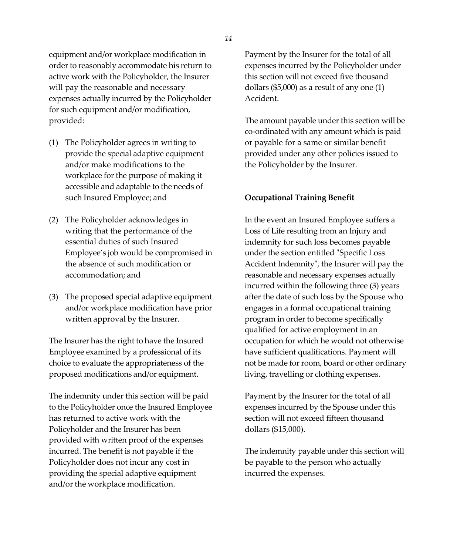equipment and/or workplace modification in order to reasonably accommodate his return to active work with the Policyholder, the Insurer will pay the reasonable and necessary expenses actually incurred by the Policyholder for such equipment and/or modification, provided:

- (1) The Policyholder agrees in writing to provide the special adaptive equipment and/or make modifications to the workplace for the purpose of making it accessible and adaptable to the needs of such Insured Employee; and
- (2) The Policyholder acknowledges in writing that the performance of the essential duties of such Insured Employee's job would be compromised in the absence of such modification or accommodation; and
- (3) The proposed special adaptive equipment and/or workplace modification have prior written approval by the Insurer.

The Insurer has the right to have the Insured Employee examined by a professional of its choice to evaluate the appropriateness of the proposed modifications and/or equipment.

The indemnity under this section will be paid to the Policyholder once the Insured Employee has returned to active work with the Policyholder and the Insurer has been provided with written proof of the expenses incurred. The benefit is not payable if the Policyholder does not incur any cost in providing the special adaptive equipment and/or the workplace modification.

Payment by the Insurer for the total of all expenses incurred by the Policyholder under this section will not exceed five thousand dollars (\$5,000) as a result of any one (1) Accident.

The amount payable under this section will be co-ordinated with any amount which is paid or payable for a same or similar benefit provided under any other policies issued to the Policyholder by the Insurer.

#### **Occupational Training Benefit**

In the event an Insured Employee suffers a Loss of Life resulting from an Injury and indemnity for such loss becomes payable under the section entitled "Specific Loss Accident Indemnity", the Insurer will pay the reasonable and necessary expenses actually incurred within the following three (3) years after the date of such loss by the Spouse who engages in a formal occupational training program in order to become specifically qualified for active employment in an occupation for which he would not otherwise have sufficient qualifications. Payment will not be made for room, board or other ordinary living, travelling or clothing expenses.

Payment by the Insurer for the total of all expenses incurred by the Spouse under this section will not exceed fifteen thousand dollars (\$15,000).

The indemnity payable under this section will be payable to the person who actually incurred the expenses.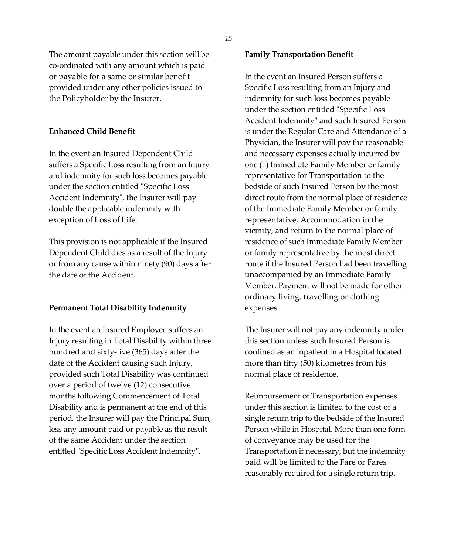The amount payable under this section will be co-ordinated with any amount which is paid or payable for a same or similar benefit provided under any other policies issued to the Policyholder by the Insurer.

# **Enhanced Child Benefit**

In the event an Insured Dependent Child suffers a Specific Loss resulting from an Injury and indemnity for such loss becomes payable under the section entitled "Specific Loss Accident Indemnity", the Insurer will pay double the applicable indemnity with exception of Loss of Life.

This provision is not applicable if the Insured Dependent Child dies as a result of the Injury or from any cause within ninety (90) days after the date of the Accident.

### **Permanent Total Disability Indemnity**

In the event an Insured Employee suffers an Injury resulting in Total Disability within three hundred and sixty-five (365) days after the date of the Accident causing such Injury, provided such Total Disability was continued over a period of twelve (12) consecutive months following Commencement of Total Disability and is permanent at the end of this period, the Insurer will pay the Principal Sum, less any amount paid or payable as the result of the same Accident under the section entitled "Specific Loss Accident Indemnity".

#### **Family Transportation Benefit**

In the event an Insured Person suffers a Specific Loss resulting from an Injury and indemnity for such loss becomes payable under the section entitled "Specific Loss Accident Indemnity" and such Insured Person is under the Regular Care and Attendance of a Physician, the Insurer will pay the reasonable and necessary expenses actually incurred by one (1) Immediate Family Member or family representative for Transportation to the bedside of such Insured Person by the most direct route from the normal place of residence of the Immediate Family Member or family representative, Accommodation in the vicinity, and return to the normal place of residence of such Immediate Family Member or family representative by the most direct route if the Insured Person had been travelling unaccompanied by an Immediate Family Member. Payment will not be made for other ordinary living, travelling or clothing expenses.

The Insurer will not pay any indemnity under this section unless such Insured Person is confined as an inpatient in a Hospital located more than fifty (50) kilometres from his normal place of residence.

Reimbursement of Transportation expenses under this section is limited to the cost of a single return trip to the bedside of the Insured Person while in Hospital. More than one form of conveyance may be used for the Transportation if necessary, but the indemnity paid will be limited to the Fare or Fares reasonably required for a single return trip.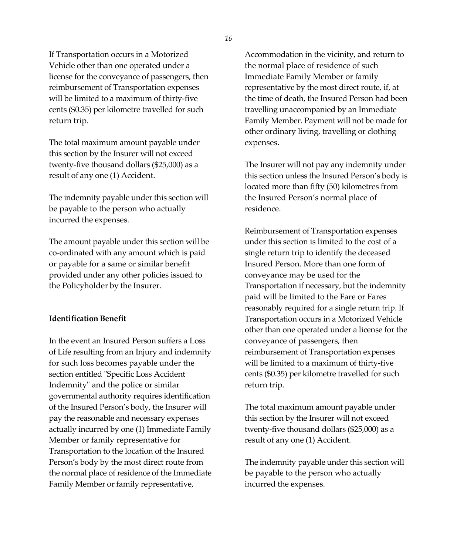If Transportation occurs in a Motorized Vehicle other than one operated under a license for the conveyance of passengers, then reimbursement of Transportation expenses will be limited to a maximum of thirty-five cents (\$0.35) per kilometre travelled for such return trip.

The total maximum amount payable under this section by the Insurer will not exceed twenty-five thousand dollars (\$25,000) as a result of any one (1) Accident.

The indemnity payable under this section will be payable to the person who actually incurred the expenses.

The amount payable under this section will be co-ordinated with any amount which is paid or payable for a same or similar benefit provided under any other policies issued to the Policyholder by the Insurer.

### **Identification Benefit**

In the event an Insured Person suffers a Loss of Life resulting from an Injury and indemnity for such loss becomes payable under the section entitled "Specific Loss Accident Indemnity" and the police or similar governmental authority requires identification of the Insured Person's body, the Insurer will pay the reasonable and necessary expenses actually incurred by one (1) Immediate Family Member or family representative for Transportation to the location of the Insured Person's body by the most direct route from the normal place of residence of the Immediate Family Member or family representative,

Accommodation in the vicinity, and return to the normal place of residence of such Immediate Family Member or family representative by the most direct route, if, at the time of death, the Insured Person had been travelling unaccompanied by an Immediate Family Member. Payment will not be made for other ordinary living, travelling or clothing expenses.

The Insurer will not pay any indemnity under this section unless the Insured Person's body is located more than fifty (50) kilometres from the Insured Person's normal place of residence.

Reimbursement of Transportation expenses under this section is limited to the cost of a single return trip to identify the deceased Insured Person. More than one form of conveyance may be used for the Transportation if necessary, but the indemnity paid will be limited to the Fare or Fares reasonably required for a single return trip. If Transportation occurs in a Motorized Vehicle other than one operated under a license for the conveyance of passengers, then reimbursement of Transportation expenses will be limited to a maximum of thirty-five cents (\$0.35) per kilometre travelled for such return trip.

The total maximum amount payable under this section by the Insurer will not exceed twenty-five thousand dollars (\$25,000) as a result of any one (1) Accident.

The indemnity payable under this section will be payable to the person who actually incurred the expenses.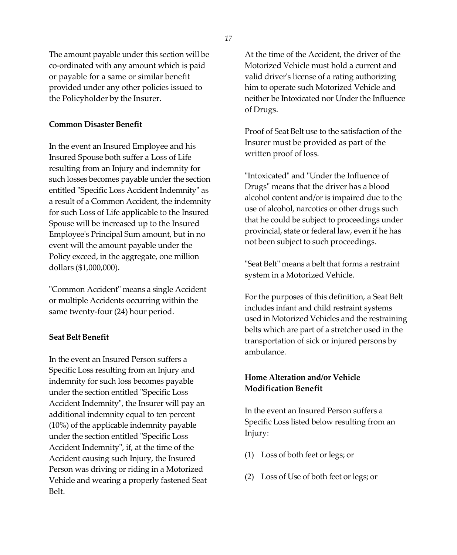The amount payable under this section will be co-ordinated with any amount which is paid or payable for a same or similar benefit provided under any other policies issued to the Policyholder by the Insurer.

## **Common Disaster Benefit**

In the event an Insured Employee and his Insured Spouse both suffer a Loss of Life resulting from an Injury and indemnity for such losses becomes payable under the section entitled "Specific Loss Accident Indemnity" as a result of a Common Accident, the indemnity for such Loss of Life applicable to the Insured Spouse will be increased up to the Insured Employee's Principal Sum amount, but in no event will the amount payable under the Policy exceed, in the aggregate, one million dollars (\$1,000,000).

"Common Accident" means a single Accident or multiple Accidents occurring within the same twenty-four (24) hour period.

# **Seat Belt Benefit**

In the event an Insured Person suffers a Specific Loss resulting from an Injury and indemnity for such loss becomes payable under the section entitled "Specific Loss Accident Indemnity", the Insurer will pay an additional indemnity equal to ten percent (10%) of the applicable indemnity payable under the section entitled "Specific Loss Accident Indemnity", if, at the time of the Accident causing such Injury, the Insured Person was driving or riding in a Motorized Vehicle and wearing a properly fastened Seat Belt.

At the time of the Accident, the driver of the Motorized Vehicle must hold a current and valid driver's license of a rating authorizing him to operate such Motorized Vehicle and neither be Intoxicated nor Under the Influence of Drugs.

Proof of Seat Belt use to the satisfaction of the Insurer must be provided as part of the written proof of loss.

"Intoxicated" and "Under the Influence of Drugs" means that the driver has a blood alcohol content and/or is impaired due to the use of alcohol, narcotics or other drugs such that he could be subject to proceedings under provincial, state or federal law, even if he has not been subject to such proceedings.

"Seat Belt" means a belt that forms a restraint system in a Motorized Vehicle.

For the purposes of this definition, a Seat Belt includes infant and child restraint systems used in Motorized Vehicles and the restraining belts which are part of a stretcher used in the transportation of sick or injured persons by ambulance.

# **Home Alteration and/or Vehicle Modification Benefit**

In the event an Insured Person suffers a Specific Loss listed below resulting from an Injury:

- (1) Loss of both feet orlegs; or
- (2) Loss of Use of both feet or legs; or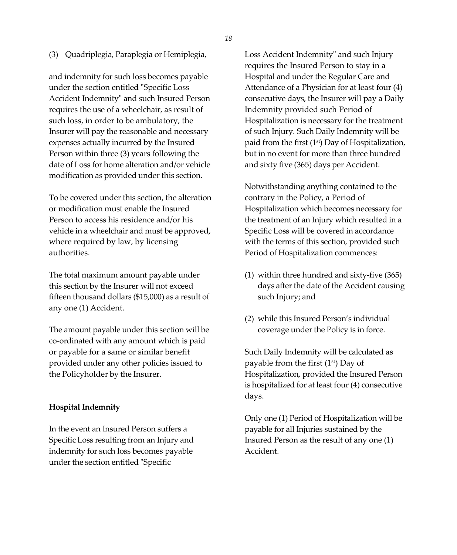(3) Quadriplegia, Paraplegia or Hemiplegia,

and indemnity for such loss becomes payable under the section entitled "Specific Loss Accident Indemnity" and such Insured Person requires the use of a wheelchair, as result of such loss, in order to be ambulatory, the Insurer will pay the reasonable and necessary expenses actually incurred by the Insured Person within three (3) years following the date of Loss for home alteration and/or vehicle modification as provided under this section.

To be covered under this section, the alteration or modification must enable the Insured Person to access his residence and/or his vehicle in a wheelchair and must be approved, where required by law, by licensing authorities.

The total maximum amount payable under this section by the Insurer will not exceed fifteen thousand dollars (\$15,000) as a result of any one (1) Accident.

The amount payable under this section will be co-ordinated with any amount which is paid or payable for a same or similar benefit provided under any other policies issued to the Policyholder by the Insurer.

### **Hospital Indemnity**

In the event an Insured Person suffers a Specific Loss resulting from an Injury and indemnity for such loss becomes payable under the section entitled "Specific

Loss Accident Indemnity" and such Injury requires the Insured Person to stay in a Hospital and under the Regular Care and Attendance of a Physician for at least four (4) consecutive days, the Insurer will pay a Daily Indemnity provided such Period of Hospitalization is necessary for the treatment of such Injury. Such Daily Indemnity will be paid from the first (1st) Day of Hospitalization, but in no event for more than three hundred and sixty five (365) days per Accident.

Notwithstanding anything contained to the contrary in the Policy, a Period of Hospitalization which becomes necessary for the treatment of an Injury which resulted in a Specific Loss will be covered in accordance with the terms of this section, provided such Period of Hospitalization commences:

- (1) within three hundred and sixty-five (365) days after the date of the Accident causing such Injury; and
- (2) while this Insured Person's individual coverage under the Policy is in force.

Such Daily Indemnity will be calculated as payable from the first (1<sup>st</sup>) Day of Hospitalization, provided the Insured Person is hospitalized for at least four (4) consecutive days.

Only one (1) Period of Hospitalization will be payable for all Injuries sustained by the Insured Person as the result of any one (1) Accident.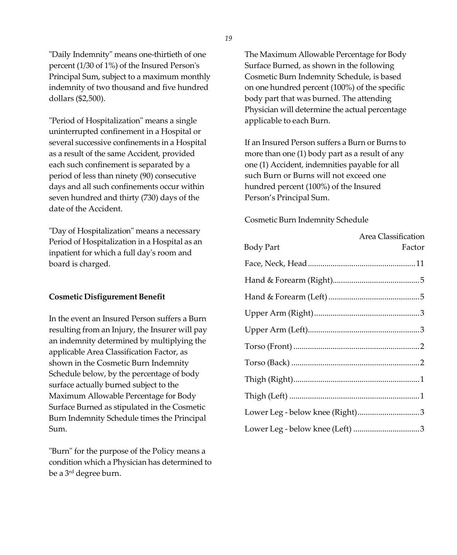"Daily Indemnity" means one-thirtieth of one percent (1/30 of 1%) of the Insured Person's Principal Sum, subject to a maximum monthly indemnity of two thousand and five hundred dollars (\$2,500).

"Period of Hospitalization" means a single uninterrupted confinement in a Hospital or several successive confinements in a Hospital as a result of the same Accident, provided each such confinement is separated by a period of less than ninety (90) consecutive days and all such confinements occur within seven hundred and thirty (730) days of the date of the Accident.

"Day of Hospitalization" means a necessary Period of Hospitalization in a Hospital as an inpatient for which a full day's room and board is charged.

### **Cosmetic Disfigurement Benefit**

In the event an Insured Person suffers a Burn resulting from an Injury, the Insurer will pay an indemnity determined by multiplying the applicable Area Classification Factor, as shown in the Cosmetic Burn Indemnity Schedule below, by the percentage of body surface actually burned subject to the Maximum Allowable Percentage for Body Surface Burned as stipulated in the Cosmetic Burn Indemnity Schedule times the Principal Sum.

"Burn" for the purpose of the Policy means a condition which a Physician has determined to be a 3 rd degree burn.

The Maximum Allowable Percentage for Body Surface Burned, as shown in the following Cosmetic Burn Indemnity Schedule, is based on one hundred percent (100%) of the specific body part that was burned. The attending Physician will determine the actual percentage applicable to each Burn.

If an Insured Person suffers a Burn or Burns to more than one (1) body part as a result of any one (1) Accident, indemnities payable for all such Burn or Burns will not exceed one hundred percent (100%) of the Insured Person's Principal Sum.

Cosmetic Burn Indemnity Schedule

|                                 | Area Classification |
|---------------------------------|---------------------|
| <b>Body Part</b>                | Factor              |
|                                 |                     |
|                                 |                     |
|                                 |                     |
|                                 |                     |
|                                 |                     |
|                                 |                     |
|                                 |                     |
|                                 |                     |
|                                 |                     |
| Lower Leg - below knee (Right)3 |                     |
| Lower Leg - below knee (Left) 3 |                     |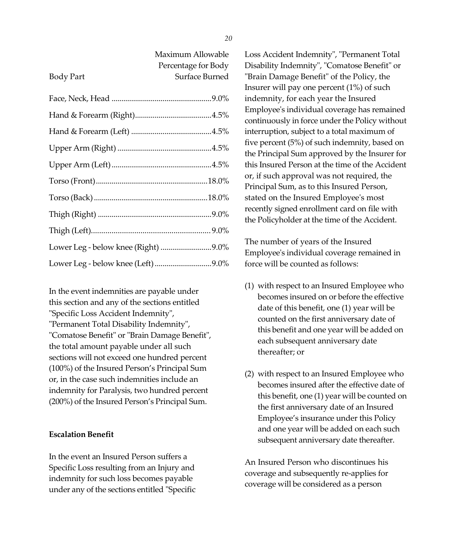| Maximum Allowable   |
|---------------------|
| Percentage for Body |
| Surface Burned      |
|                     |

| Lower Leg - below knee (Right) 9.0% |  |
|-------------------------------------|--|
| Lower Leg - below knee (Left) 9.0%  |  |

In the event indemnities are payable under this section and any of the sections entitled "Specific Loss Accident Indemnity", "Permanent Total Disability Indemnity", "Comatose Benefit" or "Brain Damage Benefit", the total amount payable under all such sections will not exceed one hundred percent (100%) of the Insured Person's Principal Sum or, in the case such indemnities include an indemnity for Paralysis, two hundred percent (200%) of the Insured Person's Principal Sum.

## **Escalation Benefit**

Body Part

In the event an Insured Person suffers a Specific Loss resulting from an Injury and indemnity for such loss becomes payable under any of the sections entitled "Specific Loss Accident Indemnity", "Permanent Total Disability Indemnity", "Comatose Benefit" or "Brain Damage Benefit" of the Policy, the Insurer will pay one percent (1%) of such indemnity, for each year the Insured Employee's individual coverage has remained continuously in force under the Policy without interruption, subject to a total maximum of five percent (5%) of such indemnity, based on the Principal Sum approved by the Insurer for this Insured Person at the time of the Accident or, if such approval was not required, the Principal Sum, as to this Insured Person, stated on the Insured Employee's most recently signed enrollment card on file with the Policyholder at the time of the Accident.

The number of years of the Insured Employee's individual coverage remained in force will be counted as follows:

- (1) with respect to an Insured Employee who becomes insured on or before the effective date of this benefit, one (1) year will be counted on the first anniversary date of this benefit and one year will be added on each subsequent anniversary date thereafter; or
- (2) with respect to an Insured Employee who becomes insured after the effective date of this benefit, one (1) year will be counted on the first anniversary date of an Insured Employee's insurance under this Policy and one year will be added on each such subsequent anniversary date thereafter.

An Insured Person who discontinues his coverage and subsequently re-applies for coverage will be considered as a person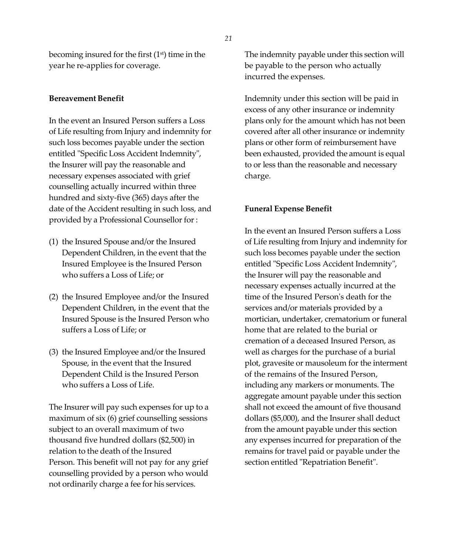becoming insured for the first (1st) time in the year he re-applies for coverage.

#### **Bereavement Benefit**

In the event an Insured Person suffers a Loss of Life resulting from Injury and indemnity for such loss becomes payable under the section entitled "Specific Loss Accident Indemnity", the Insurer will pay the reasonable and necessary expenses associated with grief counselling actually incurred within three hundred and sixty-five (365) days after the date of the Accident resulting in such loss, and provided by a Professional Counsellor for :

- (1) the Insured Spouse and/or the Insured Dependent Children, in the event that the Insured Employee is the Insured Person who suffers a Loss of Life; or
- (2) the Insured Employee and/or the Insured Dependent Children, in the event that the Insured Spouse is the Insured Person who suffers a Loss of Life; or
- (3) the Insured Employee and/or the Insured Spouse, in the event that the Insured Dependent Child is the Insured Person who suffers a Loss of Life.

The Insurer will pay such expenses for up to a maximum of six (6) grief counselling sessions subject to an overall maximum of two thousand five hundred dollars (\$2,500) in relation to the death of the Insured Person. This benefit will not pay for any grief counselling provided by a person who would not ordinarily charge a fee for his services.

The indemnity payable under this section will be payable to the person who actually incurred the expenses.

Indemnity under this section will be paid in excess of any other insurance or indemnity plans only for the amount which has not been covered after all other insurance or indemnity plans or other form of reimbursement have been exhausted, provided the amount is equal to or less than the reasonable and necessary charge.

#### **Funeral Expense Benefit**

In the event an Insured Person suffers a Loss of Life resulting from Injury and indemnity for such loss becomes payable under the section entitled "Specific Loss Accident Indemnity", the Insurer will pay the reasonable and necessary expenses actually incurred at the time of the Insured Person's death for the services and/or materials provided by a mortician, undertaker, crematorium or funeral home that are related to the burial or cremation of a deceased Insured Person, as well as charges for the purchase of a burial plot, gravesite or mausoleum for the interment of the remains of the Insured Person, including any markers or monuments. The aggregate amount payable under this section shall not exceed the amount of five thousand dollars (\$5,000), and the Insurer shall deduct from the amount payable under this section any expenses incurred for preparation of the remains for travel paid or payable under the section entitled "Repatriation Benefit".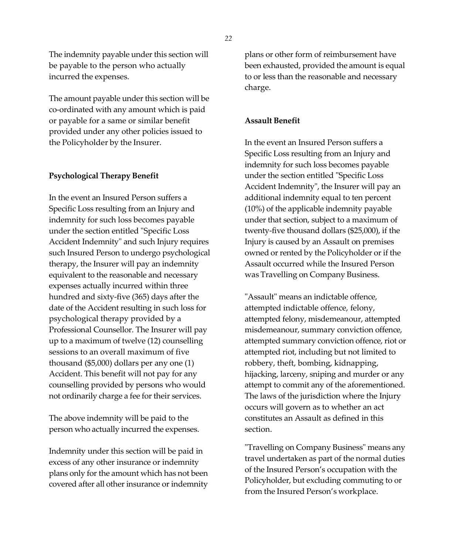The indemnity payable under this section will be payable to the person who actually incurred the expenses.

The amount payable under this section will be co-ordinated with any amount which is paid or payable for a same or similar benefit provided under any other policies issued to the Policyholder by the Insurer.

### **Psychological Therapy Benefit**

In the event an Insured Person suffers a Specific Loss resulting from an Injury and indemnity for such loss becomes payable under the section entitled "Specific Loss Accident Indemnity" and such Injury requires such Insured Person to undergo psychological therapy, the Insurer will pay an indemnity equivalent to the reasonable and necessary expenses actually incurred within three hundred and sixty-five (365) days after the date of the Accident resulting in such loss for psychological therapy provided by a Professional Counsellor. The Insurer will pay up to a maximum of twelve (12) counselling sessions to an overall maximum of five thousand (\$5,000) dollars per any one (1) Accident. This benefit will not pay for any counselling provided by persons who would not ordinarily charge a fee for their services.

The above indemnity will be paid to the person who actually incurred the expenses.

Indemnity under this section will be paid in excess of any other insurance or indemnity plans only for the amount which has not been covered after all other insurance or indemnity plans or other form of reimbursement have been exhausted, provided the amount is equal to or less than the reasonable and necessary charge.

### **Assault Benefit**

In the event an Insured Person suffers a Specific Loss resulting from an Injury and indemnity for such loss becomes payable under the section entitled "Specific Loss Accident Indemnity", the Insurer will pay an additional indemnity equal to ten percent (10%) of the applicable indemnity payable under that section, subject to a maximum of twenty-five thousand dollars (\$25,000), if the Injury is caused by an Assault on premises owned or rented by the Policyholder or if the Assault occurred while the Insured Person was Travelling on Company Business.

"Assault" means an indictable offence, attempted indictable offence, felony, attempted felony, misdemeanour, attempted misdemeanour, summary conviction offence, attempted summary conviction offence, riot or attempted riot, including but not limited to robbery, theft, bombing, kidnapping, hijacking, larceny, sniping and murder or any attempt to commit any of the aforementioned. The laws of the jurisdiction where the Injury occurs will govern as to whether an act constitutes an Assault as defined in this section.

"Travelling on Company Business" means any travel undertaken as part of the normal duties of the Insured Person's occupation with the Policyholder, but excluding commuting to or from the Insured Person's workplace.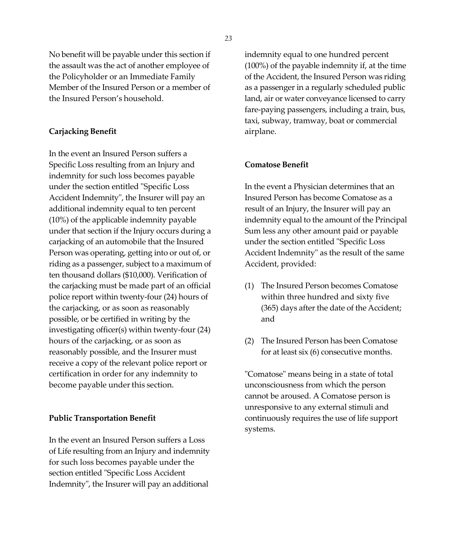No benefit will be payable under this section if the assault was the act of another employee of the Policyholder or an Immediate Family Member of the Insured Person or a member of the Insured Person's household.

## **Carjacking Benefit**

In the event an Insured Person suffers a Specific Loss resulting from an Injury and indemnity for such loss becomes payable under the section entitled "Specific Loss Accident Indemnity", the Insurer will pay an additional indemnity equal to ten percent (10%) of the applicable indemnity payable under that section if the Injury occurs during a carjacking of an automobile that the Insured Person was operating, getting into or out of, or riding as a passenger, subject to a maximum of ten thousand dollars (\$10,000). Verification of the carjacking must be made part of an official police report within twenty-four (24) hours of the carjacking, or as soon as reasonably possible, or be certified in writing by the investigating officer(s) within twenty-four (24) hours of the carjacking, or as soon as reasonably possible, and the Insurer must receive a copy of the relevant police report or certification in order for any indemnity to become payable under this section.

### **Public Transportation Benefit**

In the event an Insured Person suffers a Loss of Life resulting from an Injury and indemnity for such loss becomes payable under the section entitled "Specific Loss Accident Indemnity", the Insurer will pay an additional

indemnity equal to one hundred percent (100%) of the payable indemnity if, at the time of the Accident, the Insured Person was riding as a passenger in a regularly scheduled public land, air or water conveyance licensed to carry fare-paying passengers, including a train, bus, taxi, subway, tramway, boat or commercial airplane.

### **Comatose Benefit**

In the event a Physician determines that an Insured Person has become Comatose as a result of an Injury, the Insurer will pay an indemnity equal to the amount of the Principal Sum less any other amount paid or payable under the section entitled "Specific Loss Accident Indemnity" as the result of the same Accident, provided:

- (1) The Insured Person becomes Comatose within three hundred and sixty five (365) days after the date of the Accident; and
- (2) The Insured Person has been Comatose for at least six (6) consecutive months.

"Comatose" means being in a state of total unconsciousness from which the person cannot be aroused. A Comatose person is unresponsive to any external stimuli and continuously requires the use of life support systems.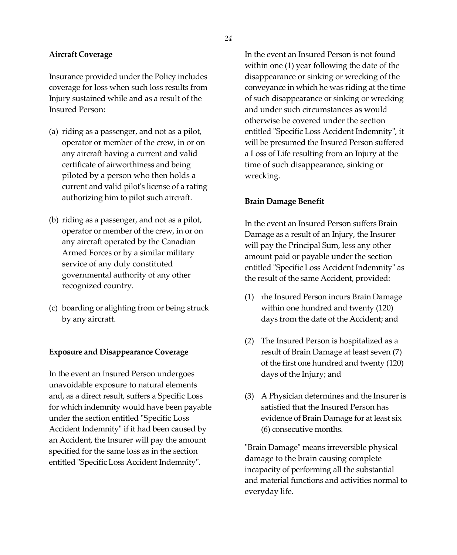#### **Aircraft Coverage**

Insurance provided under the Policy includes coverage for loss when such loss results from Injury sustained while and as a result of the Insured Person:

- (a) riding as a passenger, and not as a pilot, operator or member of the crew, in or on any aircraft having a current and valid certificate of airworthiness and being piloted by a person who then holds a current and valid pilot's license of a rating authorizing him to pilot such aircraft.
- (b) riding as a passenger, and not as a pilot, operator or member of the crew, in or on any aircraft operated by the Canadian Armed Forces or by a similar military service of any duly constituted governmental authority of any other recognized country.
- (c) boarding or alighting from or being struck by any aircraft.

### **Exposure and Disappearance Coverage**

In the event an Insured Person undergoes unavoidable exposure to natural elements and, as a direct result, suffers a Specific Loss for which indemnity would have been payable under the section entitled "Specific Loss Accident Indemnity" if it had been caused by an Accident, the Insurer will pay the amount specified for the same loss as in the section entitled "Specific Loss Accident Indemnity".

In the event an Insured Person is not found within one (1) year following the date of the disappearance or sinking or wrecking of the conveyance in which he was riding at the time of such disappearance or sinking or wrecking and under such circumstances as would otherwise be covered under the section entitled "Specific Loss Accident Indemnity", it will be presumed the Insured Person suffered a Loss of Life resulting from an Injury at the time of such disappearance, sinking or wrecking.

#### **Brain Damage Benefit**

In the event an Insured Person suffers Brain Damage as a result of an Injury, the Insurer will pay the Principal Sum, less any other amount paid or payable under the section entitled "Specific Loss Accident Indemnity" as the result of the same Accident, provided:

- (1) <sup>T</sup>he Insured Person incurs Brain Damage within one hundred and twenty (120) days from the date of the Accident; and
- (2) The Insured Person is hospitalized as a result of Brain Damage at least seven (7) of the first one hundred and twenty (120) days of the Injury; and
- (3) A Physician determines and the Insurer is satisfied that the Insured Person has evidence of Brain Damage for at least six (6) consecutive months.

"Brain Damage" means irreversible physical damage to the brain causing complete incapacity of performing all the substantial and material functions and activities normal to everyday life.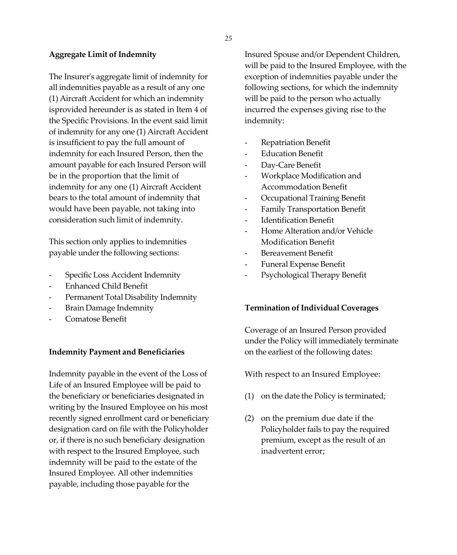#### **Aggregate Limit of Indemnity**

The Insurer's aggregate limit of indemnity for all indemnities payable as a result of any one (1) Aircraft Accident for which an indemnity isprovided hereunder is as stated in Item 4 of the Specific Provisions. In the event said limit of indemnity for any one (1) Aircraft Accident is insufficient to pay the full amount of indemnity for each Insured Person, then the amount payable for each Insured Person will be in the proportion that the limit of indemnity for any one (1) Aircraft Accident bears to the total amount of indemnity that would have been payable, not taking into consideration such limit of indemnity.

This section only applies to indemnities payable under the following sections:

- Specific Loss Accident Indemnity
- Enhanced Child Benefit
- Permanent Total Disability Indemnity
- Brain Damage Indemnity
- Comatose Benefit

### **Indemnity Payment and Beneficiaries**

Indemnity payable in the event of the Loss of Life of an Insured Employee will be paid to the beneficiary or beneficiaries designated in writing by the Insured Employee on his most recently signed enrollment card or beneficiary designation card on file with the Policyholder or, if there is no such beneficiary designation with respect to the Insured Employee, such indemnity will be paid to the estate of the Insured Employee. All other indemnities payable, including those payable for the

Insured Spouse and/or Dependent Children, will be paid to the Insured Employee, with the exception of indemnities payable under the following sections, for which the indemnity will be paid to the person who actually incurred the expenses giving rise to the indemnity:

- Repatriation Benefit
- Education Benefit
- Day-Care Benefit
- Workplace Modification and Accommodation Benefit
- Occupational Training Benefit
- Family Transportation Benefit
- Identification Benefit
- Home Alteration and/or Vehicle Modification Benefit
- Bereavement Benefit
- Funeral Expense Benefit
- Psychological Therapy Benefit

### **Termination of Individual Coverages**

Coverage of an Insured Person provided under the Policy will immediately terminate on the earliest of the following dates:

With respect to an Insured Employee:

- (1) on the date the Policy is terminated;
- (2) on the premium due date if the Policyholder fails to pay the required premium, except as the result of an inadvertent error;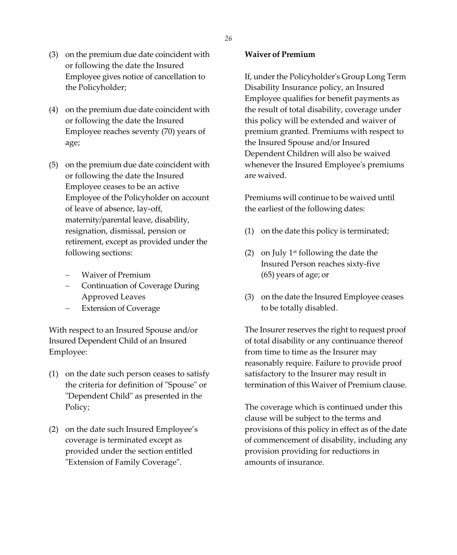- *26*
- (3) on the premium due date coincident with or following the date the Insured Employee gives notice of cancellation to the Policyholder;
- (4) on the premium due date coincident with or following the date the Insured Employee reaches seventy (70) years of age;
- (5) on the premium due date coincident with or following the date the Insured Employee ceases to be an active Employee of the Policyholder on account of leave of absence, lay-off, maternity/parental leave, disability, resignation, dismissal, pension or retirement, except as provided under the following sections:
	- − Waiver of Premium
	- − Continuation of Coverage During Approved Leaves
	- Extension of Coverage

With respect to an Insured Spouse and/or Insured Dependent Child of an Insured Employee:

- (1) on the date such person ceases to satisfy the criteria for definition of "Spouse" or "Dependent Child" as presented in the Policy;
- (2) on the date such Insured Employee's coverage is terminated except as provided under the section entitled "Extension of Family Coverage".

# **Waiver of Premium**

If, under the Policyholder's Group Long Term Disability Insurance policy, an Insured Employee qualifies for benefit payments as the result of total disability, coverage under this policy will be extended and waiver of premium granted. Premiums with respect to the Insured Spouse and/or Insured Dependent Children will also be waived whenever the Insured Employee's premiums are waived.

Premiums will continue to be waived until the earliest of the following dates:

- (1) on the date this policy is terminated;
- (2) on July  $1<sup>st</sup>$  following the date the Insured Person reaches sixty-five (65) years of age; or
- (3) on the date the Insured Employee ceases to be totally disabled.

The Insurer reserves the right to request proof of total disability or any continuance thereof from time to time as the Insurer may reasonably require. Failure to provide proof satisfactory to the Insurer may result in termination of this Waiver of Premium clause.

The coverage which is continued under this clause will be subject to the terms and provisions of this policy in effect as of the date of commencement of disability, including any provision providing for reductions in amounts of insurance.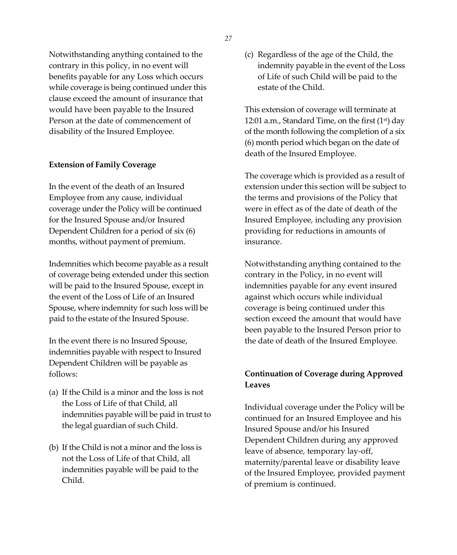Notwithstanding anything contained to the contrary in this policy, in no event will benefits payable for any Loss which occurs while coverage is being continued under this clause exceed the amount of insurance that would have been payable to the Insured Person at the date of commencement of disability of the Insured Employee.

### **Extension of Family Coverage**

In the event of the death of an Insured Employee from any cause, individual coverage under the Policy will be continued for the Insured Spouse and/or Insured Dependent Children for a period of six (6) months, without payment of premium.

Indemnities which become payable as a result of coverage being extended under this section will be paid to the Insured Spouse, except in the event of the Loss of Life of an Insured Spouse, where indemnity for such loss will be paid to the estate of the Insured Spouse.

In the event there is no Insured Spouse, indemnities payable with respect to Insured Dependent Children will be payable as follows:

- (a) If the Child is a minor and the loss is not the Loss of Life of that Child, all indemnities payable will be paid in trust to the legal guardian of such Child.
- (b) If the Child is not a minor and the loss is not the Loss of Life of that Child, all indemnities payable will be paid to the Child.

(c) Regardless of the age of the Child, the indemnity payable in the event of the Loss of Life of such Child will be paid to the estate of the Child.

This extension of coverage will terminate at 12:01 a.m., Standard Time, on the first  $(1<sup>st</sup>)$  day of the month following the completion of a six (6) month period which began on the date of death of the Insured Employee.

The coverage which is provided as a result of extension under this section will be subject to the terms and provisions of the Policy that were in effect as of the date of death of the Insured Employee, including any provision providing for reductions in amounts of insurance.

Notwithstanding anything contained to the contrary in the Policy, in no event will indemnities payable for any event insured against which occurs while individual coverage is being continued under this section exceed the amount that would have been payable to the Insured Person prior to the date of death of the Insured Employee.

# **Continuation of Coverage during Approved Leaves**

Individual coverage under the Policy will be continued for an Insured Employee and his Insured Spouse and/or his Insured Dependent Children during any approved leave of absence, temporary lay-off, maternity/parental leave or disability leave of the Insured Employee, provided payment of premium is continued.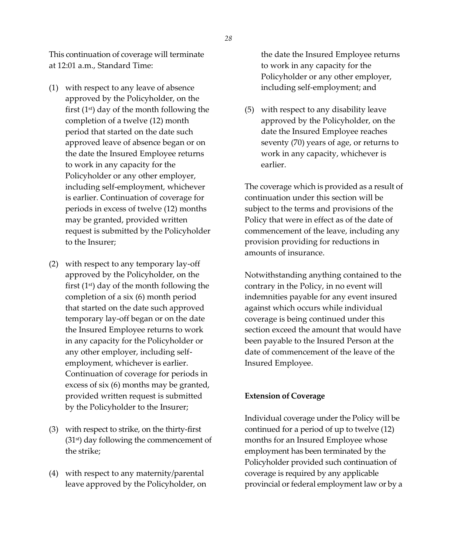This continuation of coverage will terminate at 12:01 a.m., Standard Time:

- (1) with respect to any leave of absence approved by the Policyholder, on the first  $(1<sup>st</sup>)$  day of the month following the completion of a twelve (12) month period that started on the date such approved leave of absence began or on the date the Insured Employee returns to work in any capacity for the Policyholder or any other employer, including self-employment, whichever is earlier. Continuation of coverage for periods in excess of twelve (12) months may be granted, provided written request is submitted by the Policyholder to the Insurer;
- (2) with respect to any temporary lay-off approved by the Policyholder, on the first  $(1<sup>st</sup>)$  day of the month following the completion of a six (6) month period that started on the date such approved temporary lay-off began or on the date the Insured Employee returns to work in any capacity for the Policyholder or any other employer, including selfemployment, whichever is earlier. Continuation of coverage for periods in excess of six (6) months may be granted, provided written request is submitted by the Policyholder to the Insurer;
- (3) with respect to strike, on the thirty-first (31st) day following the commencement of the strike;
- (4) with respect to any maternity/parental leave approved by the Policyholder, on

the date the Insured Employee returns to work in any capacity for the Policyholder or any other employer, including self-employment; and

(5) with respect to any disability leave approved by the Policyholder, on the date the Insured Employee reaches seventy (70) years of age, or returns to work in any capacity, whichever is earlier.

The coverage which is provided as a result of continuation under this section will be subject to the terms and provisions of the Policy that were in effect as of the date of commencement of the leave, including any provision providing for reductions in amounts of insurance.

Notwithstanding anything contained to the contrary in the Policy, in no event will indemnities payable for any event insured against which occurs while individual coverage is being continued under this section exceed the amount that would have been payable to the Insured Person at the date of commencement of the leave of the Insured Employee.

### **Extension of Coverage**

Individual coverage under the Policy will be continued for a period of up to twelve (12) months for an Insured Employee whose employment has been terminated by the Policyholder provided such continuation of coverage is required by any applicable provincial or federal employment law or by a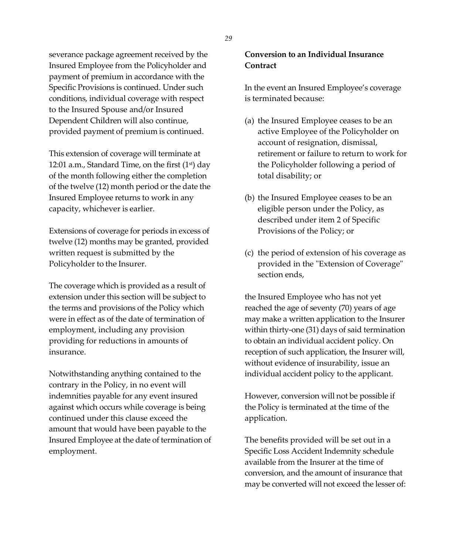severance package agreement received by the Insured Employee from the Policyholder and payment of premium in accordance with the Specific Provisions is continued. Under such conditions, individual coverage with respect to the Insured Spouse and/or Insured Dependent Children will also continue, provided payment of premium is continued.

This extension of coverage will terminate at 12:01 a.m., Standard Time, on the first  $(1<sup>st</sup>)$  day of the month following either the completion of the twelve (12) month period or the date the Insured Employee returns to work in any capacity, whichever is earlier.

Extensions of coverage for periods in excess of twelve (12) months may be granted, provided written request is submitted by the Policyholder to the Insurer.

The coverage which is provided as a result of extension under this section will be subject to the terms and provisions of the Policy which were in effect as of the date of termination of employment, including any provision providing for reductions in amounts of insurance.

Notwithstanding anything contained to the contrary in the Policy, in no event will indemnities payable for any event insured against which occurs while coverage is being continued under this clause exceed the amount that would have been payable to the Insured Employee at the date of termination of employment.

# **Conversion to an Individual Insurance Contract**

In the event an Insured Employee's coverage is terminated because:

- (a) the Insured Employee ceases to be an active Employee of the Policyholder on account of resignation, dismissal, retirement or failure to return to work for the Policyholder following a period of total disability; or
- (b) the Insured Employee ceases to be an eligible person under the Policy, as described under item 2 of Specific Provisions of the Policy; or
- (c) the period of extension of his coverage as provided in the "Extension of Coverage" section ends,

the Insured Employee who has not yet reached the age of seventy (70) years of age may make a written application to the Insurer within thirty-one (31) days of said termination to obtain an individual accident policy. On reception of such application, the Insurer will, without evidence of insurability, issue an individual accident policy to the applicant.

However, conversion will not be possible if the Policy is terminated at the time of the application.

The benefits provided will be set out in a Specific Loss Accident Indemnity schedule available from the Insurer at the time of conversion, and the amount of insurance that may be converted will not exceed the lesser of: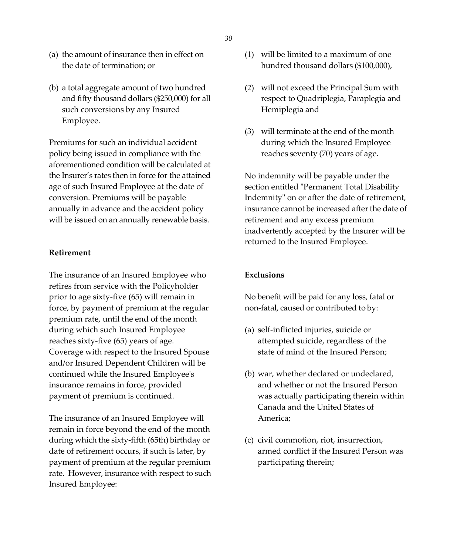- (a) the amount of insurance then in effect on the date of termination; or
- (b) a total aggregate amount of two hundred and fifty thousand dollars (\$250,000) for all such conversions by any Insured Employee.

Premiums for such an individual accident policy being issued in compliance with the aforementioned condition will be calculated at the Insurer's rates then in force for the attained age of such Insured Employee at the date of conversion. Premiums will be payable annually in advance and the accident policy will be issued on an annually renewable basis.

### **Retirement**

The insurance of an Insured Employee who retires from service with the Policyholder prior to age sixty-five (65) will remain in force, by payment of premium at the regular premium rate, until the end of the month during which such Insured Employee reaches sixty-five (65) years of age. Coverage with respect to the Insured Spouse and/or Insured Dependent Children will be continued while the Insured Employee's insurance remains in force, provided payment of premium is continued.

The insurance of an Insured Employee will remain in force beyond the end of the month during which the sixty-fifth (65th) birthday or date of retirement occurs, if such is later, by payment of premium at the regular premium rate. However, insurance with respect to such Insured Employee:

- (1) will be limited to a maximum of one hundred thousand dollars (\$100,000),
- (2) will not exceed the Principal Sum with respect to Quadriplegia, Paraplegia and Hemiplegia and
- (3) will terminate at the end of the month during which the Insured Employee reaches seventy (70) years of age.

No indemnity will be payable under the section entitled "Permanent Total Disability Indemnity" on or after the date of retirement, insurance cannot be increased after the date of retirement and any excess premium inadvertently accepted by the Insurer will be returned to the Insured Employee.

# **Exclusions**

No benefit will be paid for any loss, fatal or non-fatal, caused or contributed to by:

- (a) self-inflicted injuries, suicide or attempted suicide, regardless of the state of mind of the Insured Person;
- (b) war, whether declared or undeclared, and whether or not the Insured Person was actually participating therein within Canada and the United States of America;
- (c) civil commotion, riot, insurrection, armed conflict if the Insured Person was participating therein;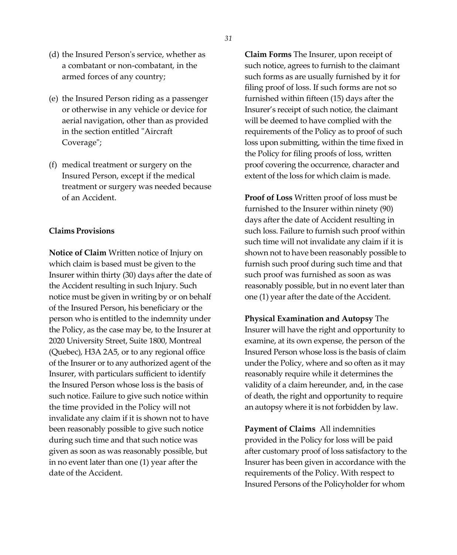- (d) the Insured Person's service, whether as a combatant or non-combatant, in the armed forces of any country;
- (e) the Insured Person riding as a passenger or otherwise in any vehicle or device for aerial navigation, other than as provided in the section entitled "Aircraft Coverage";
- (f) medical treatment or surgery on the Insured Person, except if the medical treatment or surgery was needed because of an Accident.

# **Claims Provisions**

**Notice of Claim** Written notice of Injury on which claim is based must be given to the Insurer within thirty (30) days after the date of the Accident resulting in such Injury. Such notice must be given in writing by or on behalf of the Insured Person, his beneficiary or the person who is entitled to the indemnity under the Policy, as the case may be, to the Insurer at 2020 University Street, Suite 1800, Montreal (Quebec), H3A 2A5, or to any regional office of the Insurer or to any authorized agent of the Insurer, with particulars sufficient to identify the Insured Person whose loss is the basis of such notice. Failure to give such notice within the time provided in the Policy will not invalidate any claim if it is shown not to have been reasonably possible to give such notice during such time and that such notice was given as soon as was reasonably possible, but in no event later than one (1) year after the date of the Accident.

**Claim Forms** The Insurer, upon receipt of such notice, agrees to furnish to the claimant such forms as are usually furnished by it for filing proof of loss. If such forms are not so furnished within fifteen (15) days after the Insurer's receipt of such notice, the claimant will be deemed to have complied with the requirements of the Policy as to proof of such loss upon submitting, within the time fixed in the Policy for filing proofs of loss, written proof covering the occurrence, character and extent of the loss for which claim is made.

**Proof of Loss** Written proof of loss must be furnished to the Insurer within ninety (90) days after the date of Accident resulting in such loss. Failure to furnish such proof within such time will not invalidate any claim if it is shown not to have been reasonably possible to furnish such proof during such time and that such proof was furnished as soon as was reasonably possible, but in no event later than one (1) year after the date of the Accident.

**Physical Examination and Autopsy** The Insurer will have the right and opportunity to examine, at its own expense, the person of the Insured Person whose loss is the basis of claim under the Policy, where and so often as it may reasonably require while it determines the validity of a claim hereunder, and, in the case of death, the right and opportunity to require an autopsy where it is not forbidden by law.

**Payment of Claims** All indemnities provided in the Policy for loss will be paid after customary proof of loss satisfactory to the Insurer has been given in accordance with the requirements of the Policy. With respect to Insured Persons of the Policyholder for whom